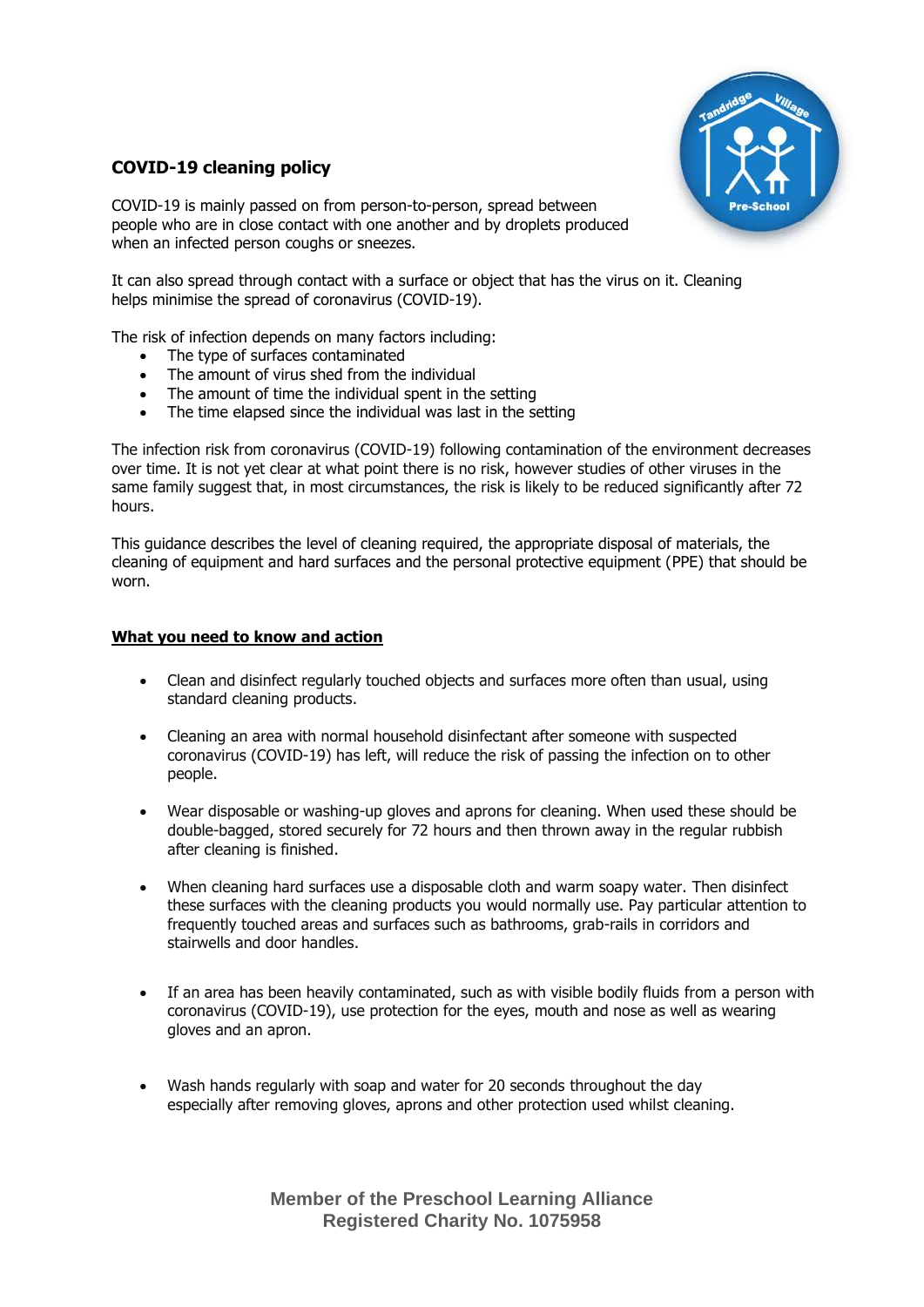

# **COVID-19 cleaning policy**

COVID-19 is mainly passed on from person-to-person, spread between people who are in close contact with one another and by droplets produced when an infected person coughs or sneezes.

It can also spread through contact with a surface or object that has the virus on it. Cleaning helps minimise the spread of coronavirus (COVID-19).

The risk of infection depends on many factors including:

- The type of surfaces contaminated
- The amount of virus shed from the individual
- The amount of time the individual spent in the setting
- The time elapsed since the individual was last in the setting

The infection risk from coronavirus (COVID-19) following contamination of the environment decreases over time. It is not yet clear at what point there is no risk, however studies of other viruses in the same family suggest that, in most circumstances, the risk is likely to be reduced significantly after 72 hours.

This guidance describes the level of cleaning required, the appropriate disposal of materials, the cleaning of equipment and hard surfaces and the personal protective equipment (PPE) that should be worn.

## **What you need to know and action**

- Clean and disinfect regularly touched objects and surfaces more often than usual, using standard cleaning products.
- Cleaning an area with normal household disinfectant after someone with suspected coronavirus (COVID-19) has left, will reduce the risk of passing the infection on to other people.
- Wear disposable or washing-up gloves and aprons for cleaning. When used these should be double-bagged, stored securely for 72 hours and then thrown away in the regular rubbish after cleaning is finished.
- When cleaning hard surfaces use a disposable cloth and warm soapy water. Then disinfect these surfaces with the cleaning products you would normally use. Pay particular attention to frequently touched areas and surfaces such as bathrooms, grab-rails in corridors and stairwells and door handles.
- If an area has been heavily contaminated, such as with visible bodily fluids from a person with coronavirus (COVID-19), use protection for the eyes, mouth and nose as well as wearing gloves and an apron.
- Wash hands regularly with soap and water for 20 seconds throughout the day especially after removing gloves, aprons and other protection used whilst cleaning.

**Member of the Preschool Learning Alliance Registered Charity No. 1075958**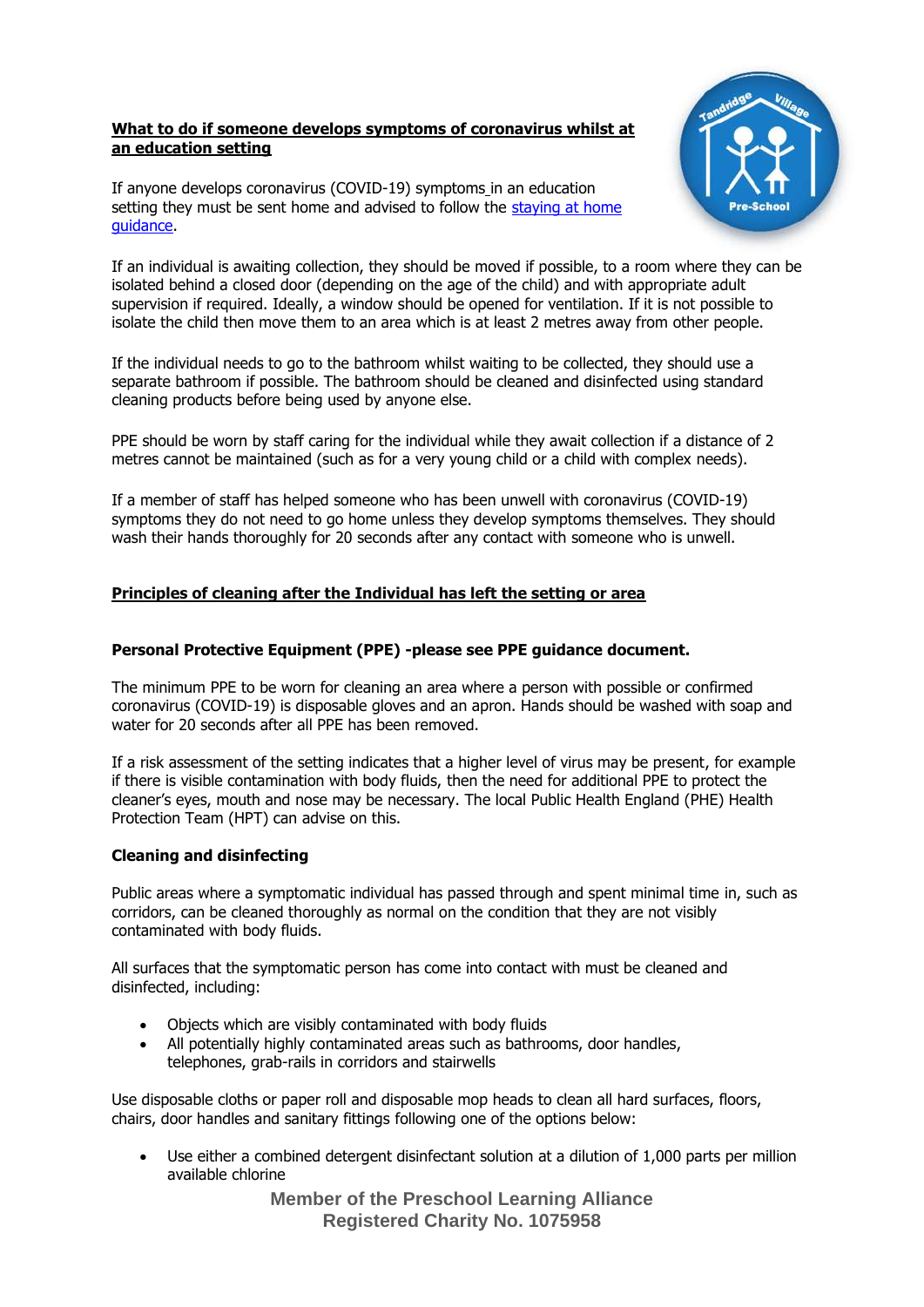#### **What to do if someone develops symptoms of coronavirus whilst at an education setting**

If anyone develops coronavirus (COVID-19) symptoms in an education setting they must be sent home and advised to follow the staying at home [guidance.](https://www.gov.uk/government/publications/covid-19-stay-at-home-guidance/stay-at-home-guidance-for-people-with-confirmed-or-possible-coronavirus-covid-19-infection)



If an individual is awaiting collection, they should be moved if possible, to a room where they can be isolated behind a closed door (depending on the age of the child) and with appropriate adult supervision if required. Ideally, a window should be opened for ventilation. If it is not possible to isolate the child then move them to an area which is at least 2 metres away from other people.

If the individual needs to go to the bathroom whilst waiting to be collected, they should use a separate bathroom if possible. The bathroom should be cleaned and disinfected using standard cleaning products before being used by anyone else.

PPE should be worn by staff caring for the individual while they await collection if a distance of 2 metres cannot be maintained (such as for a very young child or a child with complex needs).

If a member of staff has helped someone who has been unwell with coronavirus (COVID-19) symptoms they do not need to go home unless they develop symptoms themselves. They should wash their hands thoroughly for 20 seconds after any contact with someone who is unwell.

## **Principles of cleaning after the Individual has left the setting or area**

## **Personal Protective Equipment (PPE) -please see PPE guidance document.**

The minimum PPE to be worn for cleaning an area where a person with possible or confirmed coronavirus (COVID-19) is disposable gloves and an apron. Hands should be washed with soap and water for 20 seconds after all PPE has been removed.

If a risk assessment of the setting indicates that a higher level of virus may be present, for example if there is visible contamination with body fluids, then the need for additional PPE to protect the cleaner's eyes, mouth and nose may be necessary. The local Public Health England (PHE) Health Protection Team (HPT) can advise on this.

#### **Cleaning and disinfecting**

Public areas where a symptomatic individual has passed through and spent minimal time in, such as corridors, can be cleaned thoroughly as normal on the condition that they are not visibly contaminated with body fluids.

All surfaces that the symptomatic person has come into contact with must be cleaned and disinfected, including:

- Objects which are visibly contaminated with body fluids
- All potentially highly contaminated areas such as bathrooms, door handles, telephones, grab-rails in corridors and stairwells

Use disposable cloths or paper roll and disposable mop heads to clean all hard surfaces, floors, chairs, door handles and sanitary fittings following one of the options below:

• Use either a combined detergent disinfectant solution at a dilution of 1,000 parts per million available chlorine

> **Member of the Preschool Learning Alliance Registered Charity No. 1075958**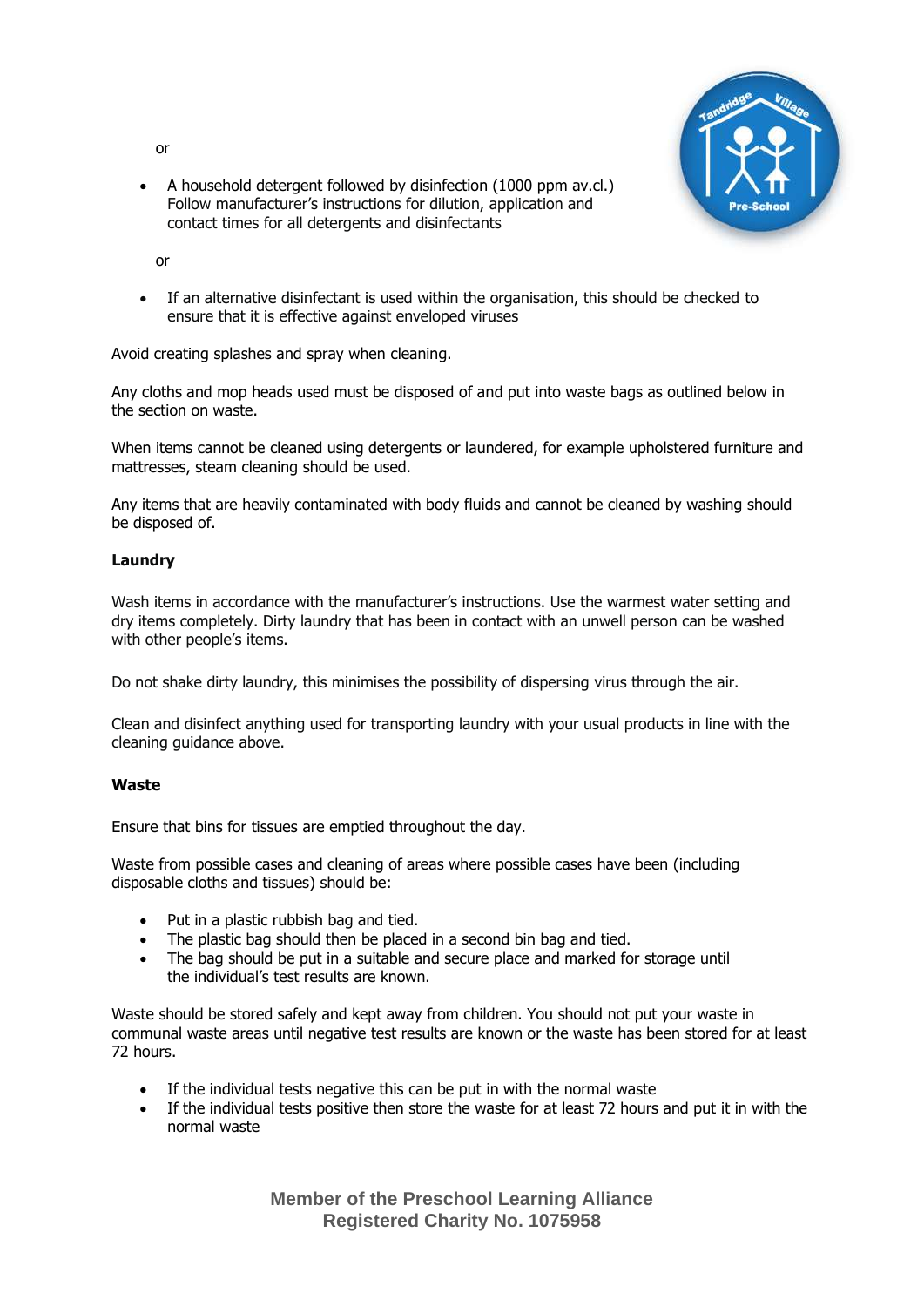or



• A household detergent followed by disinfection (1000 ppm av.cl.) Follow manufacturer's instructions for dilution, application and contact times for all detergents and disinfectants

or

• If an alternative disinfectant is used within the organisation, this should be checked to ensure that it is effective against enveloped viruses

Avoid creating splashes and spray when cleaning.

Any cloths and mop heads used must be disposed of and put into waste bags as outlined below in the section on waste.

When items cannot be cleaned using detergents or laundered, for example upholstered furniture and mattresses, steam cleaning should be used.

Any items that are heavily contaminated with body fluids and cannot be cleaned by washing should be disposed of.

## **Laundry**

Wash items in accordance with the manufacturer's instructions. Use the warmest water setting and dry items completely. Dirty laundry that has been in contact with an unwell person can be washed with other people's items.

Do not shake dirty laundry, this minimises the possibility of dispersing virus through the air.

Clean and disinfect anything used for transporting laundry with your usual products in line with the cleaning guidance above.

#### **Waste**

Ensure that bins for tissues are emptied throughout the day.

Waste from possible cases and cleaning of areas where possible cases have been (including disposable cloths and tissues) should be:

- Put in a plastic rubbish bag and tied.
- The plastic bag should then be placed in a second bin bag and tied.
- The bag should be put in a suitable and secure place and marked for storage until the individual's test results are known.

Waste should be stored safely and kept away from children. You should not put your waste in communal waste areas until negative test results are known or the waste has been stored for at least 72 hours.

- If the individual tests negative this can be put in with the normal waste
- If the individual tests positive then store the waste for at least 72 hours and put it in with the normal waste

**Member of the Preschool Learning Alliance Registered Charity No. 1075958**